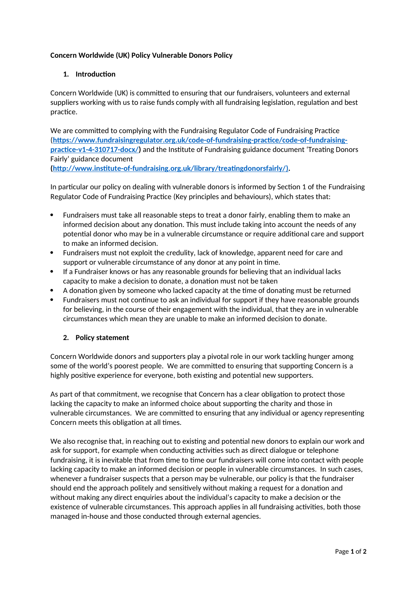## **Concern Worldwide (UK) Policy Vulnerable Donors Policy**

# **1. Introduction**

Concern Worldwide (UK) is committed to ensuring that our fundraisers, volunteers and external suppliers working with us to raise funds comply with all fundraising legislation, regulation and best practice.

We are committed to complying with the Fundraising Regulator Code of Fundraising Practice (**[https://www.fundraisingregulator.org.uk/code-of-fundraising-practice/code-of-fundraising](https://www.fundraisingregulator.org.uk/code-of-fundraising-practice/code-of-fundraising-practice-v1-4-310717-docx/)[practice-v1-4-310717-docx/\)](https://www.fundraisingregulator.org.uk/code-of-fundraising-practice/code-of-fundraising-practice-v1-4-310717-docx/)** and the Institute of Fundraising guidance document 'Treating Donors Fairly' guidance document

**[\( http://www.institute-of-fundraising.org.uk/library/treatingdonorsfairly/ \)](http://www.institute-of-fundraising.org.uk/library/treatingdonorsfairly/).** 

In particular our policy on dealing with vulnerable donors is informed by Section 1 of the Fundraising Regulator Code of Fundraising Practice (Key principles and behaviours), which states that:

- Fundraisers must take all reasonable steps to treat a donor fairly, enabling them to make an informed decision about any donation. This must include taking into account the needs of any potential donor who may be in a vulnerable circumstance or require additional care and support to make an informed decision.
- Fundraisers must not exploit the credulity, lack of knowledge, apparent need for care and support or vulnerable circumstance of any donor at any point in time.
- If a Fundraiser knows or has any reasonable grounds for believing that an individual lacks capacity to make a decision to donate, a donation must not be taken
- A donation given by someone who lacked capacity at the time of donating must be returned
- Fundraisers must not continue to ask an individual for support if they have reasonable grounds for believing, in the course of their engagement with the individual, that they are in vulnerable circumstances which mean they are unable to make an informed decision to donate.

## **2. Policy statement**

Concern Worldwide donors and supporters play a pivotal role in our work tackling hunger among some of the world's poorest people. We are committed to ensuring that supporting Concern is a highly positive experience for everyone, both existing and potential new supporters.

As part of that commitment, we recognise that Concern has a clear obligation to protect those lacking the capacity to make an informed choice about supporting the charity and those in vulnerable circumstances. We are committed to ensuring that any individual or agency representing Concern meets this obligation at all times.

We also recognise that, in reaching out to existing and potential new donors to explain our work and ask for support, for example when conducting activities such as direct dialogue or telephone fundraising, it is inevitable that from time to time our fundraisers will come into contact with people lacking capacity to make an informed decision or people in vulnerable circumstances. In such cases, whenever a fundraiser suspects that a person may be vulnerable, our policy is that the fundraiser should end the approach politely and sensitively without making a request for a donation and without making any direct enquiries about the individual's capacity to make a decision or the existence of vulnerable circumstances. This approach applies in all fundraising activities, both those managed in-house and those conducted through external agencies.